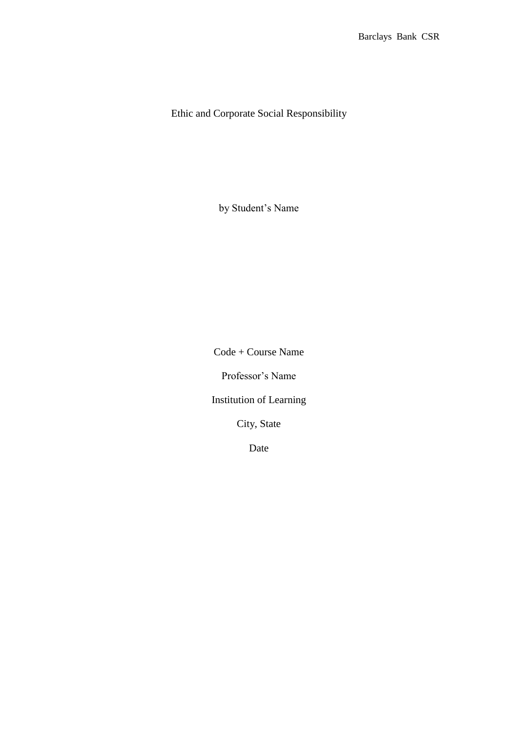Ethic and Corporate Social Responsibility

by Student's Name

Code + Course Name

Professor's Name

Institution of Learning

City, State

Date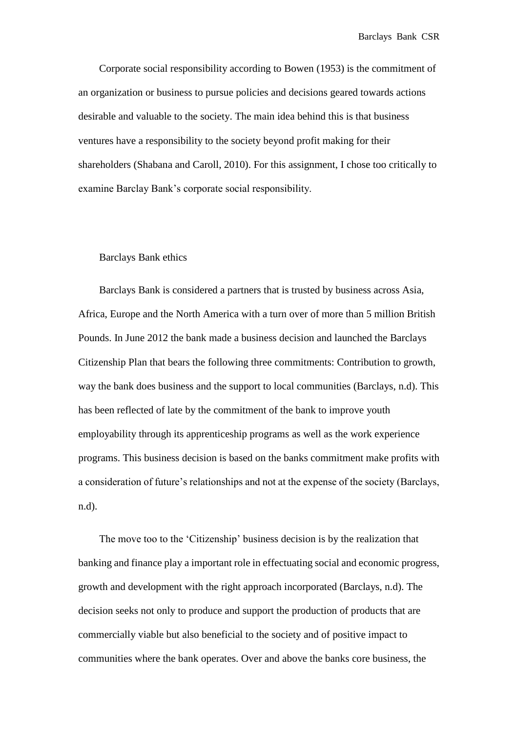Corporate social responsibility according to Bowen (1953) is the commitment of an organization or business to pursue policies and decisions geared towards actions desirable and valuable to the society. The main idea behind this is that business ventures have a responsibility to the society beyond profit making for their shareholders (Shabana and Caroll, 2010). For this assignment, I chose too critically to examine Barclay Bank's corporate social responsibility.

## Barclays Bank ethics

Barclays Bank is considered a partners that is trusted by business across Asia, Africa, Europe and the North America with a turn over of more than 5 million British Pounds. In June 2012 the bank made a business decision and launched the Barclays Citizenship Plan that bears the following three commitments: Contribution to growth, way the bank does business and the support to local communities (Barclays, n.d). This has been reflected of late by the commitment of the bank to improve youth employability through its apprenticeship programs as well as the work experience programs. This business decision is based on the banks commitment make profits with a consideration of future's relationships and not at the expense of the society (Barclays, n.d).

The move too to the 'Citizenship' business decision is by the realization that banking and finance play a important role in effectuating social and economic progress, growth and development with the right approach incorporated (Barclays, n.d). The decision seeks not only to produce and support the production of products that are commercially viable but also beneficial to the society and of positive impact to communities where the bank operates. Over and above the banks core business, the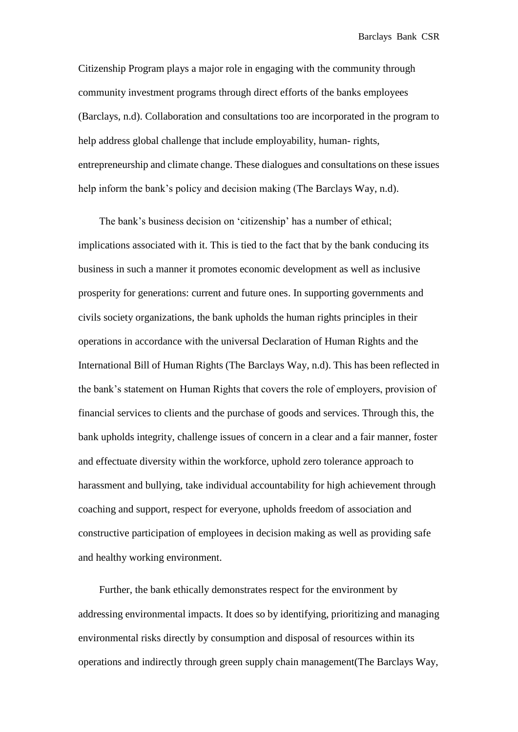Citizenship Program plays a major role in engaging with the community through community investment programs through direct efforts of the banks employees (Barclays, n.d). Collaboration and consultations too are incorporated in the program to help address global challenge that include employability, human- rights, entrepreneurship and climate change. These dialogues and consultations on these issues help inform the bank's policy and decision making (The Barclays Way, n.d).

The bank's business decision on 'citizenship' has a number of ethical; implications associated with it. This is tied to the fact that by the bank conducing its business in such a manner it promotes economic development as well as inclusive prosperity for generations: current and future ones. In supporting governments and civils society organizations, the bank upholds the human rights principles in their operations in accordance with the universal Declaration of Human Rights and the International Bill of Human Rights (The Barclays Way, n.d). This has been reflected in the bank's statement on Human Rights that covers the role of employers, provision of financial services to clients and the purchase of goods and services. Through this, the bank upholds integrity, challenge issues of concern in a clear and a fair manner, foster and effectuate diversity within the workforce, uphold zero tolerance approach to harassment and bullying, take individual accountability for high achievement through coaching and support, respect for everyone, upholds freedom of association and constructive participation of employees in decision making as well as providing safe and healthy working environment.

Further, the bank ethically demonstrates respect for the environment by addressing environmental impacts. It does so by identifying, prioritizing and managing environmental risks directly by consumption and disposal of resources within its operations and indirectly through green supply chain management(The Barclays Way,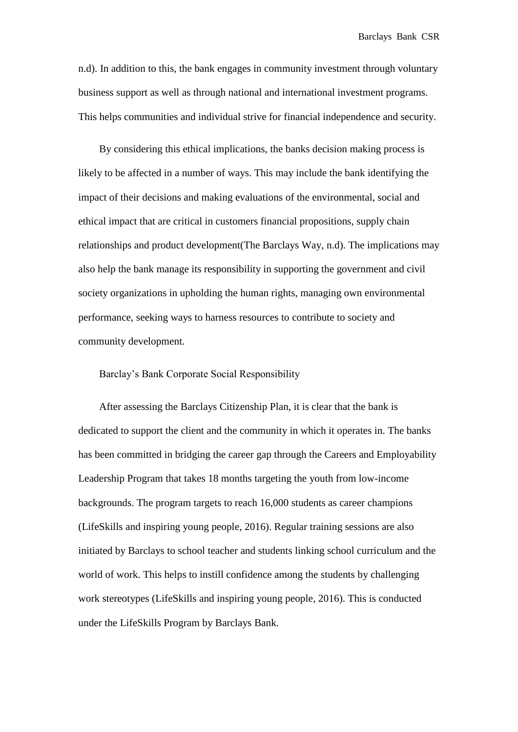n.d). In addition to this, the bank engages in community investment through voluntary business support as well as through national and international investment programs. This helps communities and individual strive for financial independence and security.

By considering this ethical implications, the banks decision making process is likely to be affected in a number of ways. This may include the bank identifying the impact of their decisions and making evaluations of the environmental, social and ethical impact that are critical in customers financial propositions, supply chain relationships and product development(The Barclays Way, n.d). The implications may also help the bank manage its responsibility in supporting the government and civil society organizations in upholding the human rights, managing own environmental performance, seeking ways to harness resources to contribute to society and community development.

## Barclay's Bank Corporate Social Responsibility

After assessing the Barclays Citizenship Plan, it is clear that the bank is dedicated to support the client and the community in which it operates in. The banks has been committed in bridging the career gap through the Careers and Employability Leadership Program that takes 18 months targeting the youth from low-income backgrounds. The program targets to reach 16,000 students as career champions (LifeSkills and inspiring young people, 2016). Regular training sessions are also initiated by Barclays to school teacher and students linking school curriculum and the world of work. This helps to instill confidence among the students by challenging work stereotypes (LifeSkills and inspiring young people, 2016). This is conducted under the LifeSkills Program by Barclays Bank.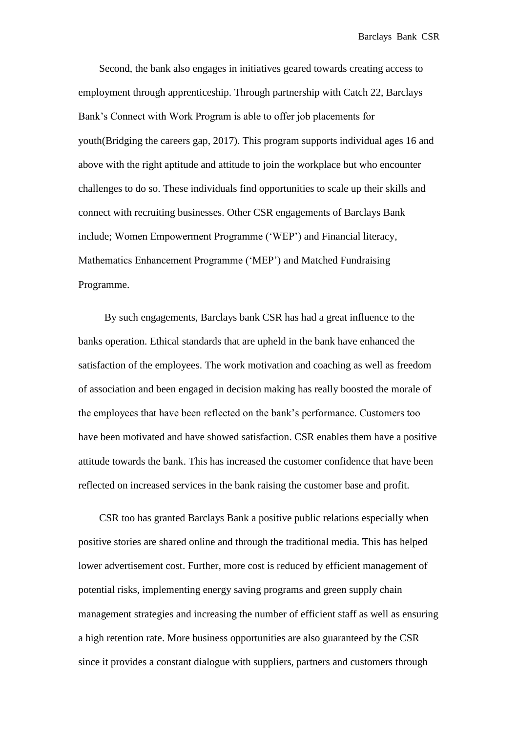Second, the bank also engages in initiatives geared towards creating access to employment through apprenticeship. Through partnership with Catch 22, Barclays Bank's Connect with Work Program is able to offer job placements for youth(Bridging the careers gap, 2017). This program supports individual ages 16 and above with the right aptitude and attitude to join the workplace but who encounter challenges to do so. These individuals find opportunities to scale up their skills and connect with recruiting businesses. Other CSR engagements of Barclays Bank include; Women Empowerment Programme ('WEP') and Financial literacy, Mathematics Enhancement Programme ('MEP') and Matched Fundraising Programme.

By such engagements, Barclays bank CSR has had a great influence to the banks operation. Ethical standards that are upheld in the bank have enhanced the satisfaction of the employees. The work motivation and coaching as well as freedom of association and been engaged in decision making has really boosted the morale of the employees that have been reflected on the bank's performance. Customers too have been motivated and have showed satisfaction. CSR enables them have a positive attitude towards the bank. This has increased the customer confidence that have been reflected on increased services in the bank raising the customer base and profit.

CSR too has granted Barclays Bank a positive public relations especially when positive stories are shared online and through the traditional media. This has helped lower advertisement cost. Further, more cost is reduced by efficient management of potential risks, implementing energy saving programs and green supply chain management strategies and increasing the number of efficient staff as well as ensuring a high retention rate. More business opportunities are also guaranteed by the CSR since it provides a constant dialogue with suppliers, partners and customers through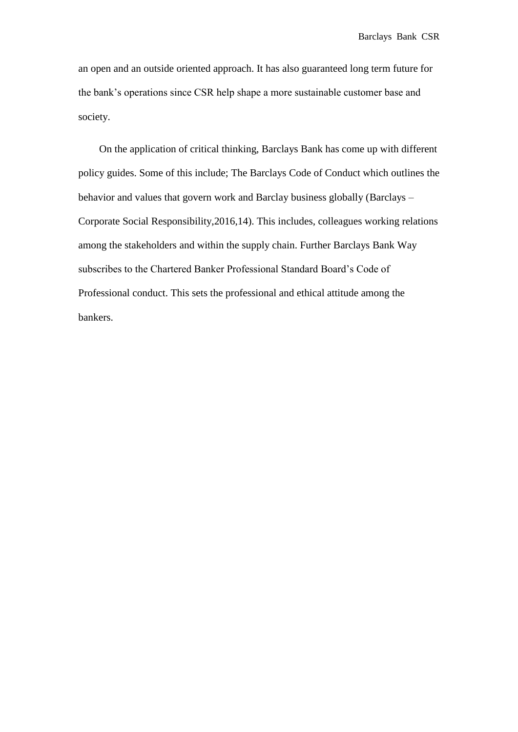an open and an outside oriented approach. It has also guaranteed long term future for the bank's operations since CSR help shape a more sustainable customer base and society.

On the application of critical thinking, Barclays Bank has come up with different policy guides. Some of this include; The Barclays Code of Conduct which outlines the behavior and values that govern work and Barclay business globally (Barclays – Corporate Social Responsibility,2016,14). This includes, colleagues working relations among the stakeholders and within the supply chain. Further Barclays Bank Way subscribes to the Chartered Banker Professional Standard Board's Code of Professional conduct. This sets the professional and ethical attitude among the bankers.